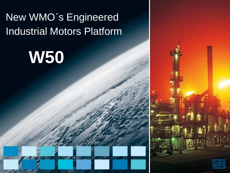# New WMO´s Engineered Industrial Motors Platform

# **W50**

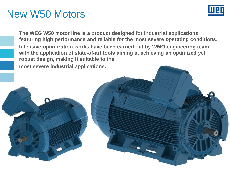## New W50 Motors



**The WEG W50 motor line is a product designed for industrial applications featuring high performance and reliable for the most severe operating conditions. Intensive optimization works have been carried out by WMO engineering team with the application of state-of-art tools aiming at achieving an optimized yet robust design, making it suitable to the most severe industrial applications.**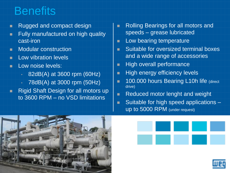# **Benefits**

- **Rugged and compact design**
- **Fully manufactured on high quality** cast-iron
- **Modular construction**
- **Low vibration levels**
- **Low noise levels:** 
	- 82dB(A) at 3600 rpm (60Hz)
	- 78dB(A) at 3000 rpm (50Hz)
- Rigid Shaft Design for all motors up to 3600 RPM – no VSD limitations
- **Rolling Bearings for all motors and** speeds – grease lubricated
- **Low bearing temperature**
- **Suitable for oversized terminal boxes** and a wide range of accessories
- **High overall performance**
- **High energy efficiency levels**
- **100.000 hours Bearing L10h life (direct** drive)
- Reduced motor lenght and weight
- **Suitable for high speed applications** up to 5000 RPM (under request)





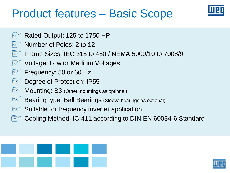# Product features – Basic Scope



- Rated Output: 125 to 1750 HP
	- Number of Poles: 2 to 12
	- Frame Sizes: IEC 315 to 450 / NEMA 5009/10 to 7008/9
	- Voltage: Low or Medium Voltages
	- Frequency: 50 or 60 Hz
	- Degree of Protection: IP55
	- Mounting: B3 (Other mountings as optional)
	- Bearing type: Ball Bearings (Sleeve bearings as optional)
	- Suitable for frequency inverter application
	- Cooling Method: IC-411 according to DIN EN 60034-6 Standard



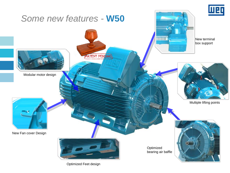

Optimized Feet design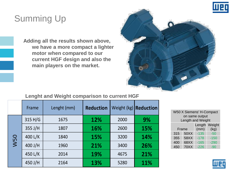

## Summing Up

**Adding all the results shown above, we have a more compact a lighter motor when compared to our current HGF design and also the main players on the market.**



#### **Lenght and Weight comparison to current HGF**

|            | Frame   | Lenght (mm) | <b>Reduction</b> | Weight (kg) | <b>Reduction</b> |
|------------|---------|-------------|------------------|-------------|------------------|
| <b>W50</b> | 315 H/G | 1675        | 12%              | 2000        | 9%               |
|            | 355 J/H | 1807        | 16%              | 2600        | 15%              |
|            | 400 L/K | 1840        | 15%              | 3200        | 14%              |
|            | 400 J/H | 1960        | 21%              | 3400        | 26%              |
|            | 450 L/K | 2014        | <b>19%</b>       | 4675        | 21%              |
|            | 450 J/H | 2164        | 13%              | 5280        | 11%              |

| <b>W50 X Siemens' H-Compact</b><br>on same output<br>Length and Weight |             |                |                |  |  |  |
|------------------------------------------------------------------------|-------------|----------------|----------------|--|--|--|
|                                                                        | Frame       | Length<br>(mm) | Weight<br>(kg) |  |  |  |
| 315                                                                    | 50XX        | $-135$         | $-50$          |  |  |  |
| 355                                                                    | 58XX        | $-178$         | $-150$         |  |  |  |
| 400                                                                    | 68XX        | $-165$         | $-290$         |  |  |  |
| 450                                                                    | <b>70XX</b> | $-226$         | $-90$          |  |  |  |

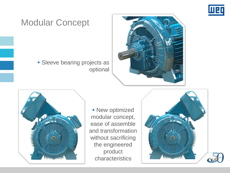

#### Modular Concept

**Sleeve bearing projects as** optional





**- New optimized** modular concept, ease of assemble and transformation without sacrificing the engineered product characteristics

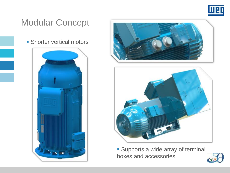

#### Modular Concept

**Shorter vertical motors** 







 Supports a wide array of terminal boxes and accessories

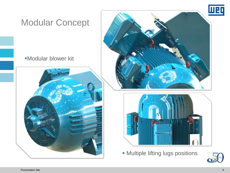